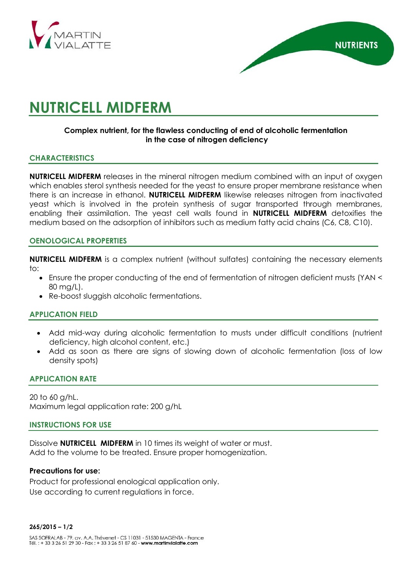



# **NUTRICELL MIDFERM**

## **Complex nutrient, for the flawless conducting of end of alcoholic fermentation in the case of nitrogen deficiency**

## **CHARACTERISTICS**

**NUTRICELL MIDFERM** releases in the mineral nitrogen medium combined with an input of oxygen which enables sterol synthesis needed for the yeast to ensure proper membrane resistance when there is an increase in ethanol. **NUTRICELL MIDFERM** likewise releases nitrogen from inactivated yeast which is involved in the protein synthesis of sugar transported through membranes, enabling their assimilation. The yeast cell walls found in **NUTRICELL MIDFERM** detoxifies the medium based on the adsorption of inhibitors such as medium fatty acid chains (C6, C8, C10).

### **OENOLOGICAL PROPERTIES**

**NUTRICELL MIDFERM** is a complex nutrient (without sulfates) containing the necessary elements to:

- Ensure the proper conducting of the end of fermentation of nitrogen deficient musts (YAN < 80 mg/L).
- Re-boost sluggish alcoholic fermentations.

### **APPLICATION FIELD**

- Add mid-way during alcoholic fermentation to musts under difficult conditions (nutrient deficiency, high alcohol content, etc.)
- Add as soon as there are signs of slowing down of alcoholic fermentation (loss of low density spots)

## **APPLICATION RATE**

20 to 60 g/hL. Maximum legal application rate: 200 g/hL

#### **INSTRUCTIONS FOR USE**

Dissolve **NUTRICELL MIDFERM** in 10 times its weight of water or must. Add to the volume to be treated. Ensure proper homogenization.

#### **Precautions for use:**

Product for professional enological application only. Use according to current regulations in force.

#### **265/2015 – 1/2**